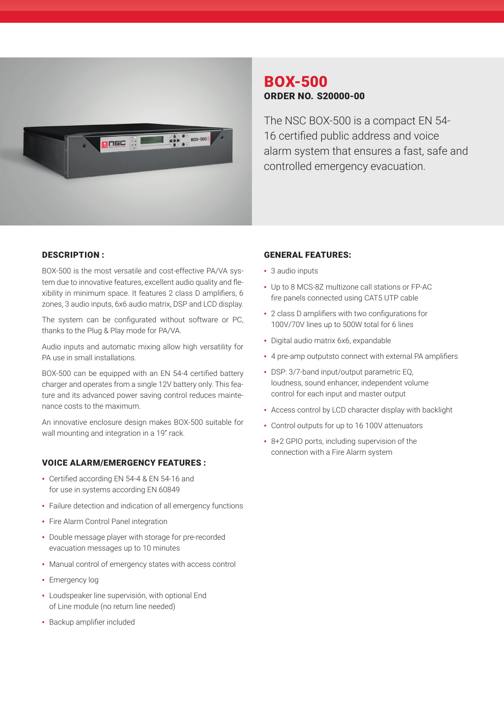

# BOX-500 ORDER NO. S20000-00

The NSC BOX-500 is a compact EN 54- 16 certified public address and voice alarm system that ensures a fast, safe and controlled emergency evacuation.

### DESCRIPTION :

BOX-500 is the most versatile and cost-effective PA/VA system due to innovative features, excellent audio quality and flexibility in minimum space. It features 2 class D amplifiers, 6 zones, 3 audio inputs, 6x6 audio matrix, DSP and LCD display.

The system can be configurated without software or PC, thanks to the Plug & Play mode for PA/VA.

Audio inputs and automatic mixing allow high versatility for PA use in small installations.

BOX-500 can be equipped with an EN 54-4 certified battery charger and operates from a single 12V battery only. This feature and its advanced power saving control reduces maintenance costs to the maximum.

An innovative enclosure design makes BOX-500 suitable for wall mounting and integration in a 19" rack.

#### VOICE ALARM/EMERGENCY FEATURES :

- Certified according EN 54-4 & EN 54-16 and for use in systems according EN 60849
- Failure detection and indication of all emergency functions
- **·** Fire Alarm Control Panel integration
- Double message player with storage for pre-recorded evacuation messages up to 10 minutes
- Manual control of emergency states with access control
- Emergency log
- **·** Loudspeaker line supervisión, with optional End of Line module (no return line needed)
- Backup amplifier included

#### GENERAL FEATURES:

- 3 audio inputs
- Up to 8 MCS-8Z multizone call stations or FP-AC fire panels connected using CAT5 UTP cable
- 2 class D amplifiers with two configurations for 100V/70V lines up to 500W total for 6 lines
- Digital audio matrix 6x6, expandable
- ▪  4 pre-amp outputsto connect with external PA amplifiers
- DSP: 3/7-band input/output parametric EQ, loudness, sound enhancer, independent volume control for each input and master output
- ▪  Access control by LCD character display with backlight
- Control outputs for up to 16 100V attenuators
- 8+2 GPIO ports, including supervision of the connection with a Fire Alarm system